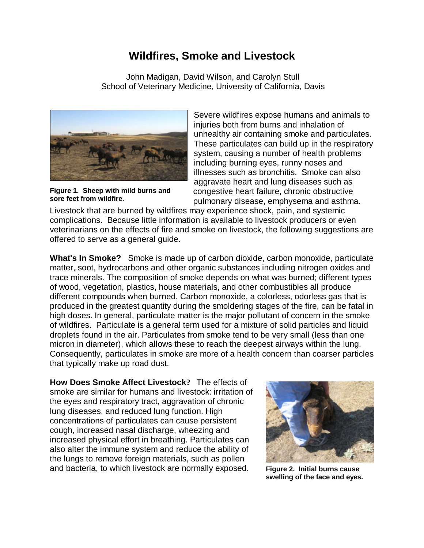## **Wildfires, Smoke and Livestock**

 John Madigan, David Wilson, and Carolyn Stull School of Veterinary Medicine, University of California, Davis



**Figure 1. Sheep with mild burns and sore feet from wildfire.**

Severe wildfires expose humans and animals to injuries both from burns and inhalation of unhealthy air containing smoke and particulates. These particulates can build up in the respiratory system, causing a number of health problems including burning eyes, runny noses and illnesses such as bronchitis. Smoke can also aggravate heart and lung diseases such as congestive heart failure, chronic obstructive pulmonary disease, emphysema and asthma.

Livestock that are burned by wildfires may experience shock, pain, and systemic complications. Because little information is available to livestock producers or even veterinarians on the effects of fire and smoke on livestock, the following suggestions are offered to serve as a general guide.

**What's In Smoke?** Smoke is made up of carbon dioxide, carbon monoxide, particulate matter, soot, hydrocarbons and other organic substances including nitrogen oxides and trace minerals. The composition of smoke depends on what was burned; different types of wood, vegetation, plastics, house materials, and other combustibles all produce different compounds when burned. Carbon monoxide, a colorless, odorless gas that is produced in the greatest quantity during the smoldering stages of the fire, can be fatal in high doses. In general, particulate matter is the major pollutant of concern in the smoke of wildfires. Particulate is a general term used for a mixture of solid particles and liquid droplets found in the air. Particulates from smoke tend to be very small (less than one micron in diameter), which allows these to reach the deepest airways within the lung. Consequently, particulates in smoke are more of a health concern than coarser particles that typically make up road dust.

**How Does Smoke Affect Livestock?** The effects of smoke are similar for humans and livestock: irritation of the eyes and respiratory tract, aggravation of chronic lung diseases, and reduced lung function. High concentrations of particulates can cause persistent cough, increased nasal discharge, wheezing and increased physical effort in breathing. Particulates can also alter the immune system and reduce the ability of the lungs to remove foreign materials, such as pollen and bacteria, to which livestock are normally exposed.



**Figure 2. Initial burns cause swelling of the face and eyes.**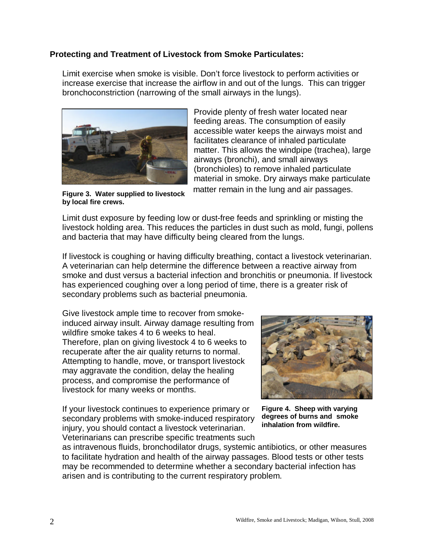## **Protecting and Treatment of Livestock from Smoke Particulates:**

Limit exercise when smoke is visible. Don't force livestock to perform activities or increase exercise that increase the airflow in and out of the lungs. This can trigger bronchoconstriction (narrowing of the small airways in the lungs).



**Figure 3. Water supplied to livestock by local fire crews.**

Provide plenty of fresh water located near feeding areas. The consumption of easily accessible water keeps the airways moist and facilitates clearance of inhaled particulate matter. This allows the windpipe (trachea), large airways (bronchi), and small airways (bronchioles) to remove inhaled particulate material in smoke. Dry airways make particulate matter remain in the lung and air passages.

Limit dust exposure by feeding low or dust-free feeds and sprinkling or misting the livestock holding area. This reduces the particles in dust such as mold, fungi, pollens and bacteria that may have difficulty being cleared from the lungs.

If livestock is coughing or having difficulty breathing, contact a livestock veterinarian. A veterinarian can help determine the difference between a reactive airway from smoke and dust versus a bacterial infection and bronchitis or pneumonia. If livestock has experienced coughing over a long period of time, there is a greater risk of secondary problems such as bacterial pneumonia.

Give livestock ample time to recover from smokeinduced airway insult. Airway damage resulting from wildfire smoke takes 4 to 6 weeks to heal. Therefore, plan on giving livestock 4 to 6 weeks to recuperate after the air quality returns to normal. Attempting to handle, move, or transport livestock may aggravate the condition, delay the healing process, and compromise the performance of livestock for many weeks or months.

If your livestock continues to experience primary or secondary problems with smoke-induced respiratory injury, you should contact a livestock veterinarian. Veterinarians can prescribe specific treatments such



**Figure 4. Sheep with varying degrees of burns and smoke inhalation from wildfire.**

as intravenous fluids, bronchodilator drugs, systemic antibiotics, or other measures to facilitate hydration and health of the airway passages. Blood tests or other tests may be recommended to determine whether a secondary bacterial infection has arisen and is contributing to the current respiratory problem.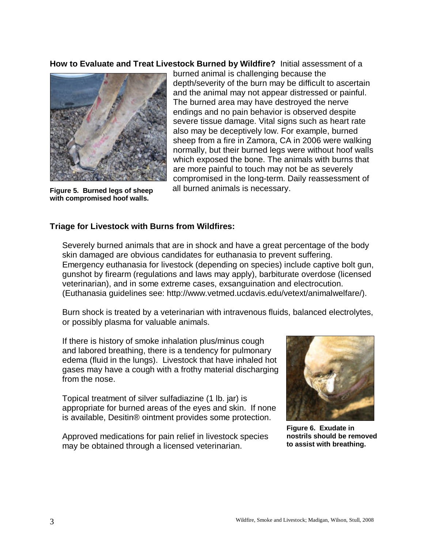**How to Evaluate and Treat Livestock Burned by Wildfire?** Initial assessment of a



**Figure 5. Burned legs of sheep with compromised hoof walls.**

burned animal is challenging because the depth/severity of the burn may be difficult to ascertain and the animal may not appear distressed or painful. The burned area may have destroyed the nerve endings and no pain behavior is observed despite severe tissue damage. Vital signs such as heart rate also may be deceptively low. For example, burned sheep from a fire in Zamora, CA in 2006 were walking normally, but their burned legs were without hoof walls which exposed the bone. The animals with burns that are more painful to touch may not be as severely compromised in the long-term. Daily reassessment of all burned animals is necessary.

## **Triage for Livestock with Burns from Wildfires:**

Severely burned animals that are in shock and have a great percentage of the body skin damaged are obvious candidates for euthanasia to prevent suffering. Emergency euthanasia for livestock (depending on species) include captive bolt gun, gunshot by firearm (regulations and laws may apply), barbiturate overdose (licensed veterinarian), and in some extreme cases, exsanguination and electrocution. (Euthanasia guidelines see: http://www.vetmed.ucdavis.edu/vetext/animalwelfare/).

Burn shock is treated by a veterinarian with intravenous fluids, balanced electrolytes, or possibly plasma for valuable animals.

If there is history of smoke inhalation plus/minus cough and labored breathing, there is a tendency for pulmonary edema (fluid in the lungs). Livestock that have inhaled hot gases may have a cough with a frothy material discharging from the nose.

Topical treatment of silver sulfadiazine (1 lb. jar) is appropriate for burned areas of the eyes and skin. If none is available, Desitin® ointment provides some protection.

Approved medications for pain relief in livestock species may be obtained through a licensed veterinarian.



**Figure 6. Exudate in nostrils should be removed to assist with breathing.**